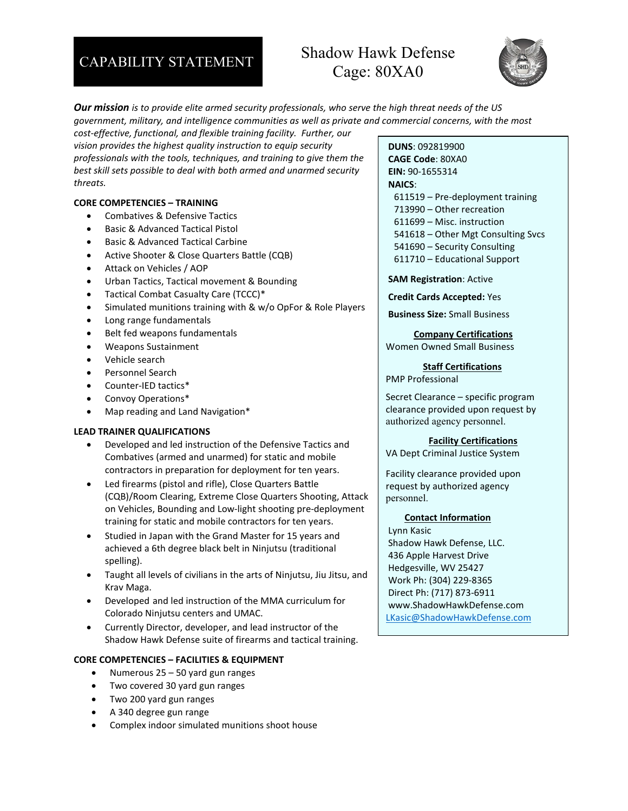# CAPABILITY STATEMENT Shadow Hawk Defense Cage: 80XA0



*Our mission is to provide elite armed security professionals, who serve the high threat needs of the US government, military, and intelligence communities as well as private and commercial concerns, with the most cost-effective, functional, and flexible training facility. Further, our* 

*vision provides the highest quality instruction to equip security professionals with the tools, techniques, and training to give them the best skill sets possible to deal with both armed and unarmed security threats.*

### **CORE COMPETENCIES – TRAINING**

- Combatives & Defensive Tactics
- Basic & Advanced Tactical Pistol
- Basic & Advanced Tactical Carbine
- Active Shooter & Close Quarters Battle (CQB)
- Attack on Vehicles / AOP
- Urban Tactics, Tactical movement & Bounding
- Tactical Combat Casualty Care (TCCC)\*
- Simulated munitions training with & w/o OpFor & Role Players
- Long range fundamentals
- Belt fed weapons fundamentals
- Weapons Sustainment
- Vehicle search
- Personnel Search
- Counter-IED tactics\*
- Convoy Operations\*
- Map reading and Land Navigation\*

# **LEAD TRAINER QUALIFICATIONS**

- Developed and led instruction of the Defensive Tactics and Combatives (armed and unarmed) for static and mobile contractors in preparation for deployment for ten years.
- Led firearms (pistol and rifle), Close Quarters Battle (CQB)/Room Clearing, Extreme Close Quarters Shooting, Attack on Vehicles, Bounding and Low-light shooting pre-deployment training for static and mobile contractors for ten years.
- Studied in Japan with the Grand Master for 15 years and achieved a 6th degree black belt in Ninjutsu (traditional spelling).
- Taught all levels of civilians in the arts of Ninjutsu, Jiu Jitsu, and Krav Maga.
- Developed and led instruction of the MMA curriculum for Colorado Ninjutsu centers and UMAC.
- Currently Director, developer, and lead instructor of the Shadow Hawk Defense suite of firearms and tactical training.

# **CORE COMPETENCIES – FACILITIES & EQUIPMENT**

- Numerous 25 50 yard gun ranges
- Two covered 30 yard gun ranges
- Two 200 yard gun ranges
- A 340 degree gun range
- Complex indoor simulated munitions shoot house

## **DUNS**: 092819900

**CAGE Code**: 80XA0 **EIN:** 90-1655314 **NAICS**: 611519 – Pre-deployment training 713990 – Other recreation 611699 – Misc. instruction 541618 – Other Mgt Consulting Svcs 541690 – Security Consulting 611710 – Educational Support

**SAM Registration**: Active

**Credit Cards Accepted:** Yes

**Business Size:** Small Business

 **Company Certifications** Women Owned Small Business

## **Staff Certifications**

PMP Professional

Secret Clearance – specific program clearance provided upon request by authorized agency personnel.

### **Facility Certifications**

VA Dept Criminal Justice System

Facility clearance provided upon request by authorized agency personnel.

### **Contact Information**

Lynn Kasic Shadow Hawk Defense, LLC. 436 Apple Harvest Drive Hedgesville, WV 25427 Work Ph: (304) 229-8365 Direct Ph: (717) 873-6911 www.ShadowHawkDefense.com [LKasic@ShadowHawkDefense.com](mailto:LKasic@ShadowHawkDefense.com)